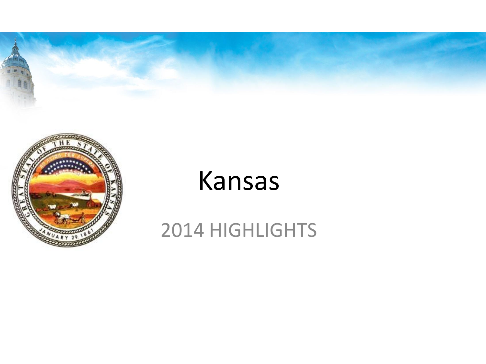



### Kansas

#### 2014 HIGHLIGHTS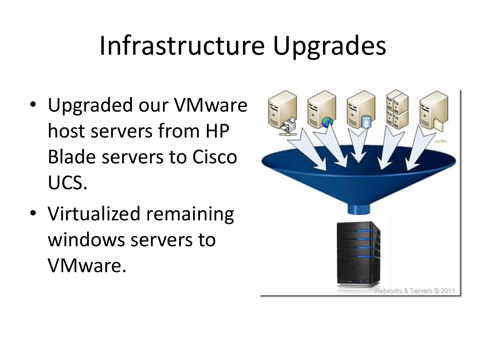### Infrastructure Upgrades

- Upgraded our VMware host servers from HP Blade servers to Cisco UCS.
- Virtualized remaining windows servers to VMware.

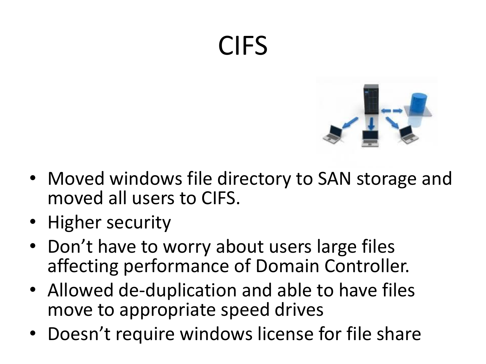### CIFS



- Moved windows file directory to SAN storage and moved all users to CIFS.
- Higher security
- Don't have to worry about users large files affecting performance of Domain Controller.
- Allowed de-duplication and able to have files move to appropriate speed drives
- Doesn't require windows license for file share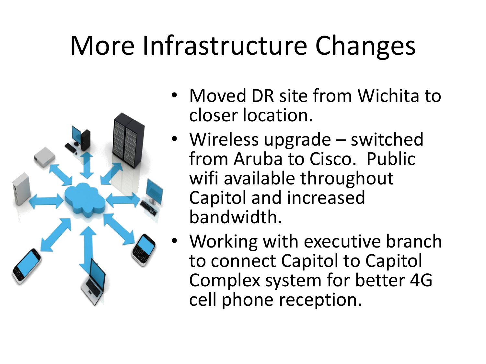## More Infrastructure Changes



- Moved DR site from Wichita to closer location.
- Wireless upgrade switched from Aruba to Cisco. Public wifi available throughout Capitol and increased bandwidth.
- Working with executive branch to connect Capitol to Capitol Complex system for better 4G cell phone reception.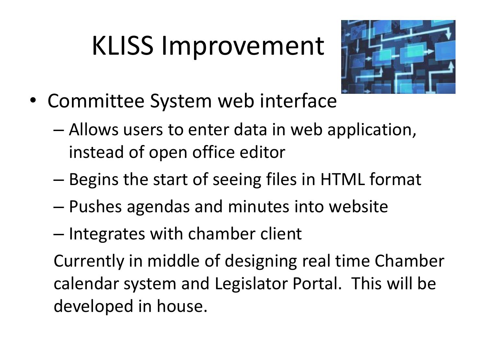# KLISS Improvement



- Committee System web interface
	- Allows users to enter data in web application, instead of open office editor
	- Begins the start of seeing files in HTML format
	- Pushes agendas and minutes into website
	- Integrates with chamber client

Currently in middle of designing real time Chamber calendar system and Legislator Portal. This will be developed in house.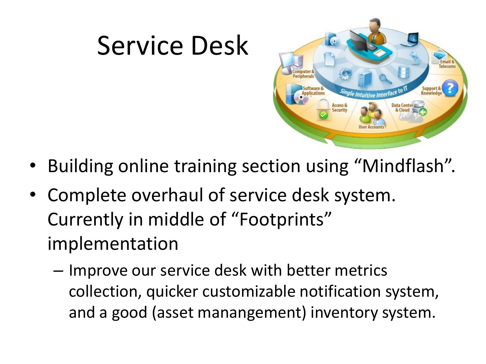

- Building online training section using "Mindflash".
- Complete overhaul of service desk system. Currently in middle of "Footprints" implementation

Service Desk

– Improve our service desk with better metrics collection, quicker customizable notification system, and a good (asset manangement) inventory system.